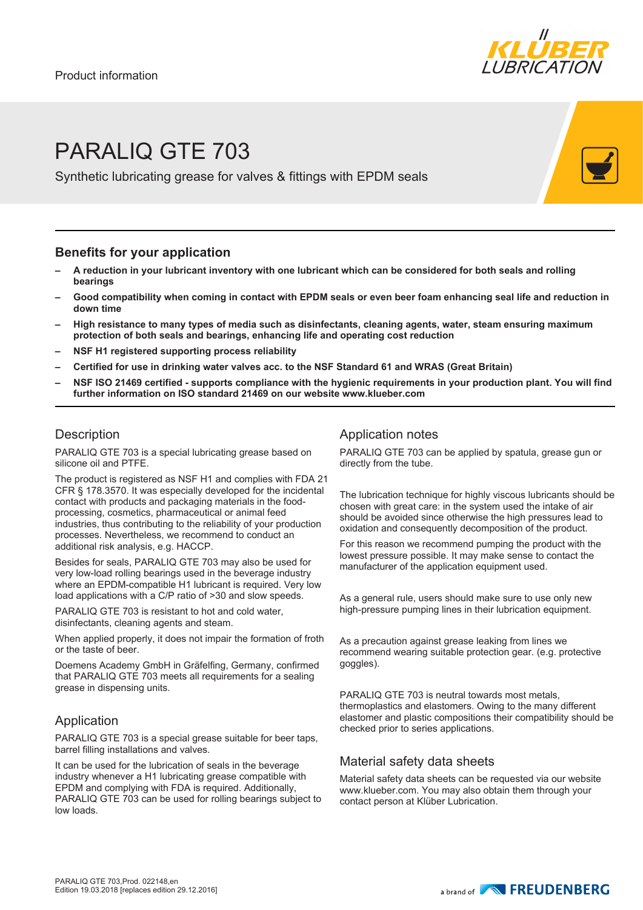

# PARALIQ GTE 703

Synthetic lubricating grease for valves & fittings with EPDM seals

### **Benefits for your application**

- **– A reduction in your lubricant inventory with one lubricant which can be considered for both seals and rolling bearings**
- **– Good compatibility when coming in contact with EPDM seals or even beer foam enhancing seal life and reduction in down time**
- **– High resistance to many types of media such as disinfectants, cleaning agents, water, steam ensuring maximum protection of both seals and bearings, enhancing life and operating cost reduction**
- **– NSF H1 registered supporting process reliability**
- **– Certified for use in drinking water valves acc. to the NSF Standard 61 and WRAS (Great Britain)**
- **– NSF ISO 21469 certified supports compliance with the hygienic requirements in your production plant. You will find further information on ISO standard 21469 on our website www.klueber.com**

### **Description**

PARALIQ GTE 703 is a special lubricating grease based on silicone oil and PTFE.

The product is registered as NSF H1 and complies with FDA 21 CFR § 178.3570. It was especially developed for the incidental contact with products and packaging materials in the foodprocessing, cosmetics, pharmaceutical or animal feed industries, thus contributing to the reliability of your production processes. Nevertheless, we recommend to conduct an additional risk analysis, e.g. HACCP.

Besides for seals, PARALIQ GTE 703 may also be used for very low-load rolling bearings used in the beverage industry where an EPDM-compatible H1 lubricant is required. Very low load applications with a C/P ratio of >30 and slow speeds.

PARALIQ GTE 703 is resistant to hot and cold water, disinfectants, cleaning agents and steam.

When applied properly, it does not impair the formation of froth or the taste of beer.

Doemens Academy GmbH in Gräfelfing, Germany, confirmed that PARALIQ GTE 703 meets all requirements for a sealing grease in dispensing units.

#### Application

PARALIQ GTE 703 is a special grease suitable for beer taps, barrel filling installations and valves.

It can be used for the lubrication of seals in the beverage industry whenever a H1 lubricating grease compatible with EPDM and complying with FDA is required. Additionally, PARALIQ GTE 703 can be used for rolling bearings subject to low loads.

#### Application notes

PARALIQ GTE 703 can be applied by spatula, grease gun or directly from the tube.

The lubrication technique for highly viscous lubricants should be chosen with great care: in the system used the intake of air should be avoided since otherwise the high pressures lead to oxidation and consequently decomposition of the product.

For this reason we recommend pumping the product with the lowest pressure possible. It may make sense to contact the manufacturer of the application equipment used.

As a general rule, users should make sure to use only new high-pressure pumping lines in their lubrication equipment.

As a precaution against grease leaking from lines we recommend wearing suitable protection gear. (e.g. protective goggles).

PARALIQ GTE 703 is neutral towards most metals, thermoplastics and elastomers. Owing to the many different elastomer and plastic compositions their compatibility should be checked prior to series applications.

#### Material safety data sheets

Material safety data sheets can be requested via our website www.klueber.com. You may also obtain them through your contact person at Klüber Lubrication.